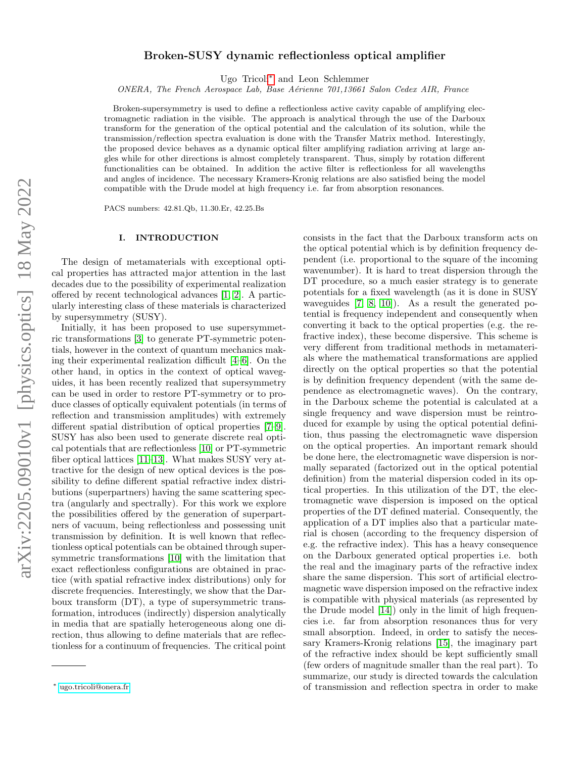# Broken-SUSY dynamic reflectionless optical amplifier

Ugo Tricoli[∗](#page-0-0) and Leon Schlemmer

ONERA, The French Aerospace Lab, Base Aérienne 701,13661 Salon Cedex AIR, France

Broken-supersymmetry is used to define a reflectionless active cavity capable of amplifying electromagnetic radiation in the visible. The approach is analytical through the use of the Darboux transform for the generation of the optical potential and the calculation of its solution, while the transmission/reflection spectra evaluation is done with the Transfer Matrix method. Interestingly, the proposed device behaves as a dynamic optical filter amplifying radiation arriving at large angles while for other directions is almost completely transparent. Thus, simply by rotation different functionalities can be obtained. In addition the active filter is reflectionless for all wavelengths and angles of incidence. The necessary Kramers-Kronig relations are also satisfied being the model compatible with the Drude model at high frequency i.e. far from absorption resonances.

PACS numbers: 42.81.Qb, 11.30.Er, 42.25.Bs

### <span id="page-0-1"></span>I. INTRODUCTION

The design of metamaterials with exceptional optical properties has attracted major attention in the last decades due to the possibility of experimental realization offered by recent technological advances [\[1,](#page-3-0) [2\]](#page-3-1). A particularly interesting class of these materials is characterized by supersymmetry (SUSY).

Initially, it has been proposed to use supersymmetric transformations [\[3\]](#page-3-2) to generate PT-symmetric potentials, however in the context of quantum mechanics making their experimental realization difficult [\[4–](#page-3-3)[6\]](#page-3-4). On the other hand, in optics in the context of optical waveguides, it has been recently realized that supersymmetry can be used in order to restore PT-symmetry or to produce classes of optically equivalent potentials (in terms of reflection and transmission amplitudes) with extremely different spatial distribution of optical properties [\[7–](#page-3-5)[9\]](#page-3-6). SUSY has also been used to generate discrete real optical potentials that are reflectionless [\[10\]](#page-3-7) or PT-symmetric fiber optical lattices [\[11](#page-3-8)[–13\]](#page-3-9). What makes SUSY very attractive for the design of new optical devices is the possibility to define different spatial refractive index distributions (superpartners) having the same scattering spectra (angularly and spectrally). For this work we explore the possibilities offered by the generation of superpartners of vacuum, being reflectionless and possessing unit transmission by definition. It is well known that reflectionless optical potentials can be obtained through supersymmetric transformations [\[10\]](#page-3-7) with the limitation that exact reflectionless configurations are obtained in practice (with spatial refractive index distributions) only for discrete frequencies. Interestingly, we show that the Darboux transform (DT), a type of supersymmetric transformation, introduces (indirectly) dispersion analytically in media that are spatially heterogeneous along one direction, thus allowing to define materials that are reflectionless for a continuum of frequencies. The critical point

consists in the fact that the Darboux transform acts on the optical potential which is by definition frequency dependent (i.e. proportional to the square of the incoming wavenumber). It is hard to treat dispersion through the DT procedure, so a much easier strategy is to generate potentials for a fixed wavelength (as it is done in SUSY waveguides [\[7,](#page-3-5) [8,](#page-3-10) [10\]](#page-3-7)). As a result the generated potential is frequency independent and consequently when converting it back to the optical properties (e.g. the refractive index), these become dispersive. This scheme is very different from traditional methods in metamaterials where the mathematical transformations are applied directly on the optical properties so that the potential is by definition frequency dependent (with the same dependence as electromagnetic waves). On the contrary, in the Darboux scheme the potential is calculated at a single frequency and wave dispersion must be reintroduced for example by using the optical potential definition, thus passing the electromagnetic wave dispersion on the optical properties. An important remark should be done here, the electromagnetic wave dispersion is normally separated (factorized out in the optical potential definition) from the material dispersion coded in its optical properties. In this utilization of the DT, the electromagnetic wave dispersion is imposed on the optical properties of the DT defined material. Consequently, the application of a DT implies also that a particular material is chosen (according to the frequency dispersion of e.g. the refractive index). This has a heavy consequence on the Darboux generated optical properties i.e. both the real and the imaginary parts of the refractive index share the same dispersion. This sort of artificial electromagnetic wave dispersion imposed on the refractive index is compatible with physical materials (as represented by the Drude model [\[14\]](#page-3-11)) only in the limit of high frequencies i.e. far from absorption resonances thus for very small absorption. Indeed, in order to satisfy the necessary Kramers-Kronig relations [\[15\]](#page-3-12), the imaginary part of the refractive index should be kept sufficiently small (few orders of magnitude smaller than the real part). To summarize, our study is directed towards the calculation of transmission and reflection spectra in order to make

<span id="page-0-0"></span><sup>∗</sup> [ugo.tricoli@onera.fr](mailto:ugo.tricoli@onera.fr)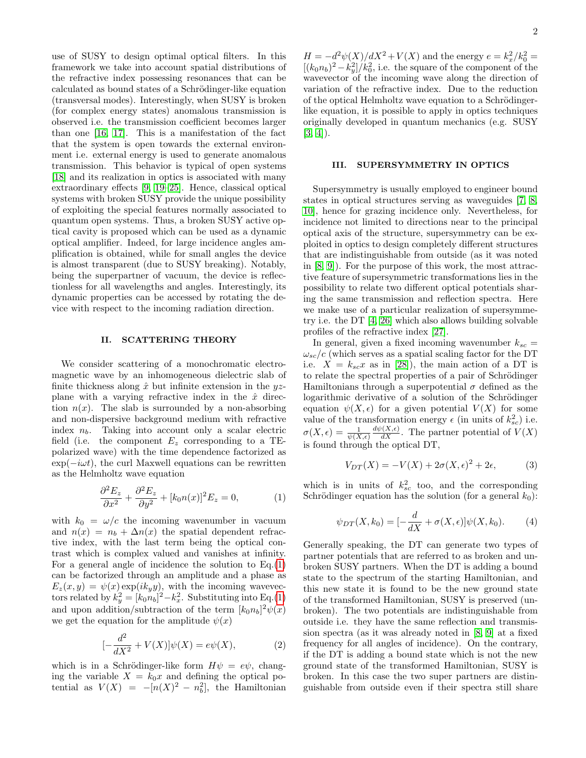use of SUSY to design optimal optical filters. In this framework we take into account spatial distributions of the refractive index possessing resonances that can be calculated as bound states of a Schrödinger-like equation (transversal modes). Interestingly, when SUSY is broken (for complex energy states) anomalous transmission is observed i.e. the transmission coefficient becomes larger than one [\[16,](#page-3-13) [17\]](#page-3-14). This is a manifestation of the fact that the system is open towards the external environment i.e. external energy is used to generate anomalous transmission. This behavior is typical of open systems [\[18\]](#page-3-15) and its realization in optics is associated with many extraordinary effects [\[9,](#page-3-6) [19–](#page-3-16)[25\]](#page-3-17). Hence, classical optical systems with broken SUSY provide the unique possibility of exploiting the special features normally associated to quantum open systems. Thus, a broken SUSY active optical cavity is proposed which can be used as a dynamic optical amplifier. Indeed, for large incidence angles amplification is obtained, while for small angles the device is almost transparent (due to SUSY breaking). Notably, being the superpartner of vacuum, the device is reflectionless for all wavelengths and angles. Interestingly, its dynamic properties can be accessed by rotating the device with respect to the incoming radiation direction.

### II. SCATTERING THEORY

We consider scattering of a monochromatic electromagnetic wave by an inhomogeneous dielectric slab of finite thickness along  $\hat{x}$  but infinite extension in the  $yz$ plane with a varying refractive index in the  $\hat{x}$  direction  $n(x)$ . The slab is surrounded by a non-absorbing and non-dispersive background medium with refractive index  $n_b$ . Taking into account only a scalar electric field (i.e. the component  $E_z$  corresponding to a TEpolarized wave) with the time dependence factorized as  $\exp(-i\omega t)$ , the curl Maxwell equations can be rewritten as the Helmholtz wave equation

<span id="page-1-0"></span>
$$
\frac{\partial^2 E_z}{\partial x^2} + \frac{\partial^2 E_z}{\partial y^2} + [k_0 n(x)]^2 E_z = 0,\tag{1}
$$

with  $k_0 = \omega/c$  the incoming wavenumber in vacuum and  $n(x) = n_b + \Delta n(x)$  the spatial dependent refractive index, with the last term being the optical contrast which is complex valued and vanishes at infinity. For a general angle of incidence the solution to  $Eq.(1)$  $Eq.(1)$ can be factorized through an amplitude and a phase as  $E_z(x, y) = \psi(x) \exp(ik_y y)$ , with the incoming wavevectors related by  $k_y^2 = [k_0 n_b]^2 - k_x^2$ . Substituting into Eq.[\(1\)](#page-1-0) and upon addition/subtraction of the term  $[k_0 n_b]^2 \psi(x)$ we get the equation for the amplitude  $\psi(x)$ 

$$
[-\frac{d^2}{dX^2} + V(X)]\psi(X) = e\psi(X),
$$
 (2)

which is in a Schrödinger-like form  $H\psi = e\psi$ , changing the variable  $X = k_0 x$  and defining the optical potential as  $V(X) = -[n(X)^2 - n_b^2]$ , the Hamiltonian

 $H = -d^2\psi(X)/dX^2 + V(X)$  and the energy  $e = k_x^2/k_0^2 =$  $[(k_0 n_b)^2 - k_y^2]/k_0^2$ , i.e. the square of the component of the wavevector of the incoming wave along the direction of variation of the refractive index. Due to the reduction of the optical Helmholtz wave equation to a Schrödingerlike equation, it is possible to apply in optics techniques originally developed in quantum mechanics (e.g. SUSY  $[3, 4]$  $[3, 4]$ ).

## III. SUPERSYMMETRY IN OPTICS

Supersymmetry is usually employed to engineer bound states in optical structures serving as waveguides [\[7,](#page-3-5) [8,](#page-3-10) [10\]](#page-3-7), hence for grazing incidence only. Nevertheless, for incidence not limited to directions near to the principal optical axis of the structure, supersymmetry can be exploited in optics to design completely different structures that are indistinguishable from outside (as it was noted in [\[8,](#page-3-10) [9\]](#page-3-6)). For the purpose of this work, the most attractive feature of supersymmetric transformations lies in the possibility to relate two different optical potentials sharing the same transmission and reflection spectra. Here we make use of a particular realization of supersymmetry i.e. the DT [\[4,](#page-3-3) [26\]](#page-3-18) which also allows building solvable profiles of the refractive index [\[27\]](#page-3-19).

In general, given a fixed incoming wavenumber  $k_{sc} =$  $\omega_{sc}/c$  (which serves as a spatial scaling factor for the DT i.e.  $X = k_{sc}x$  as in [\[28\]](#page-3-20)), the main action of a DT is to relate the spectral properties of a pair of Schrödinger Hamiltonians through a superpotential  $\sigma$  defined as the logarithmic derivative of a solution of the Schrödinger equation  $\psi(X, \epsilon)$  for a given potential  $V(X)$  for some value of the transformation energy  $\epsilon$  (in units of  $k_{sc}^2$ ) i.e.  $\sigma(X, \epsilon) = \frac{1}{\psi(X, \epsilon)}$  $\frac{d\psi(X,\epsilon)}{dX}$ . The partner potential of  $V(X)$ is found through the optical DT,

$$
V_{DT}(X) = -V(X) + 2\sigma(X, \epsilon)^2 + 2\epsilon,
$$
 (3)

which is in units of  $k_{sc}^2$  too, and the corresponding Schrödinger equation has the solution (for a general  $k_0$ ):

<span id="page-1-1"></span>
$$
\psi_{DT}(X,k_0) = \left[-\frac{d}{dX} + \sigma(X,\epsilon)\right] \psi(X,k_0). \tag{4}
$$

Generally speaking, the DT can generate two types of partner potentials that are referred to as broken and unbroken SUSY partners. When the DT is adding a bound state to the spectrum of the starting Hamiltonian, and this new state it is found to be the new ground state of the transformed Hamiltonian, SUSY is preserved (unbroken). The two potentials are indistinguishable from outside i.e. they have the same reflection and transmission spectra (as it was already noted in [\[8,](#page-3-10) [9\]](#page-3-6) at a fixed frequency for all angles of incidence). On the contrary, if the DT is adding a bound state which is not the new ground state of the transformed Hamiltonian, SUSY is broken. In this case the two super partners are distinguishable from outside even if their spectra still share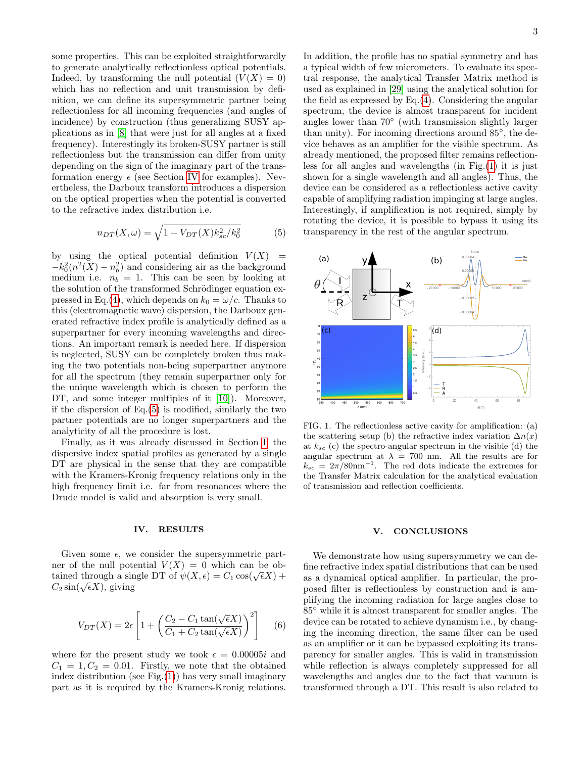some properties. This can be exploited straightforwardly to generate analytically reflectionless optical potentials. Indeed, by transforming the null potential  $(V(X) = 0)$ which has no reflection and unit transmission by definition, we can define its supersymmetric partner being reflectionless for all incoming frequencies (and angles of incidence) by construction (thus generalizing SUSY applications as in [\[8\]](#page-3-10) that were just for all angles at a fixed frequency). Interestingly its broken-SUSY partner is still reflectionless but the transmission can differ from unity depending on the sign of the imaginary part of the transformation energy  $\epsilon$  (see Section [IV](#page-2-0) for examples). Nevertheless, the Darboux transform introduces a dispersion on the optical properties when the potential is converted to the refractive index distribution i.e.

<span id="page-2-1"></span>
$$
n_{DT}(X,\omega) = \sqrt{1 - V_{DT}(X)k_{sc}^2/k_0^2}
$$
 (5)

by using the optical potential definition  $V(X)$  =  $-k_0^2(n^2(X) - n_b^2)$  and considering air as the background medium i.e.  $n_b = 1$ . This can be seen by looking at the solution of the transformed Schrödinger equation ex-pressed in Eq.[\(4\)](#page-1-1), which depends on  $k_0 = \omega/c$ . Thanks to this (electromagnetic wave) dispersion, the Darboux generated refractive index profile is analytically defined as a superpartner for every incoming wavelengths and directions. An important remark is needed here. If dispersion is neglected, SUSY can be completely broken thus making the two potentials non-being superpartner anymore for all the spectrum (they remain superpartner only for the unique wavelength which is chosen to perform the DT, and some integer multiples of it [\[10\]](#page-3-7)). Moreover, if the dispersion of Eq.[\(5\)](#page-2-1) is modified, similarly the two partner potentials are no longer superpartners and the analyticity of all the procedure is lost.

Finally, as it was already discussed in Section [I,](#page-0-1) the dispersive index spatial profiles as generated by a single DT are physical in the sense that they are compatible with the Kramers-Kronig frequency relations only in the high frequency limit i.e. far from resonances where the Drude model is valid and absorption is very small.

### <span id="page-2-0"></span>IV. RESULTS

Given some  $\epsilon$ , we consider the supersymmetric partner of the null potential  $V(X) = 0$  which can be obthere of the num potential  $V(X) = 0$  which can be obtained through a single DT of  $\psi(X, \epsilon) = C_1 \cos(\sqrt{\epsilon}X) + C_2 \cos(\sqrt{\epsilon}X)$  $C_2 \sin(\sqrt{\epsilon}X)$ , giving

$$
V_{DT}(X) = 2\epsilon \left[ 1 + \left( \frac{C_2 - C_1 \tan(\sqrt{\epsilon}X)}{C_1 + C_2 \tan(\sqrt{\epsilon}X)} \right)^2 \right] \tag{6}
$$

where for the present study we took  $\epsilon = 0.00005i$  and  $C_1 = 1, C_2 = 0.01$ . Firstly, we note that the obtained index distribution (see Fig. $(1)$ ) has very small imaginary part as it is required by the Kramers-Kronig relations.

In addition, the profile has no spatial symmetry and has a typical width of few micrometers. To evaluate its spectral response, the analytical Transfer Matrix method is used as explained in [\[29\]](#page-3-21) using the analytical solution for the field as expressed by Eq.[\(4\)](#page-1-1). Considering the angular spectrum, the device is almost transparent for incident angles lower than 70◦ (with transmission slightly larger than unity). For incoming directions around 85◦ , the device behaves as an amplifier for the visible spectrum. As already mentioned, the proposed filter remains reflectionless for all angles and wavelengths (in Fig.[\(1\)](#page-2-2) it is just shown for a single wavelength and all angles). Thus, the device can be considered as a reflectionless active cavity capable of amplifying radiation impinging at large angles. Interestingly, if amplification is not required, simply by rotating the device, it is possible to bypass it using its transparency in the rest of the angular spectrum.



<span id="page-2-2"></span>FIG. 1. The reflectionless active cavity for amplification: (a) the scattering setup (b) the refractive index variation  $\Delta n(x)$ at  $k_{sc}$  (c) the spectro-angular spectrum in the visible (d) the angular spectrum at  $\lambda = 700$  nm. All the results are for  $k_{sc} = 2\pi/80$ nm<sup>-1</sup>. The red dots indicate the extremes for the Transfer Matrix calculation for the analytical evaluation of transmission and reflection coefficients.

### V. CONCLUSIONS

We demonstrate how using supersymmetry we can define refractive index spatial distributions that can be used as a dynamical optical amplifier. In particular, the proposed filter is reflectionless by construction and is amplifying the incoming radiation for large angles close to 85◦ while it is almost transparent for smaller angles. The device can be rotated to achieve dynamism i.e., by changing the incoming direction, the same filter can be used as an amplifier or it can be bypassed exploiting its transparency for smaller angles. This is valid in transmission while reflection is always completely suppressed for all wavelengths and angles due to the fact that vacuum is transformed through a DT. This result is also related to